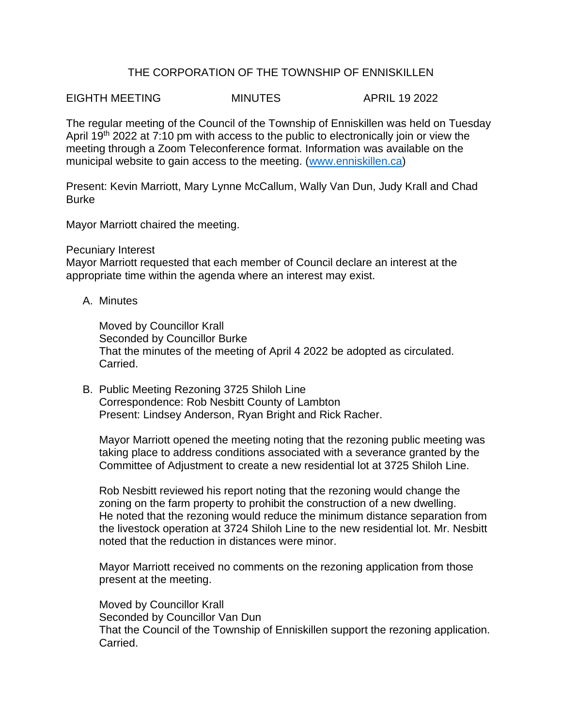## THE CORPORATION OF THE TOWNSHIP OF ENNISKILLEN

EIGHTH MEETING MINUTES APRIL 19 2022

The regular meeting of the Council of the Township of Enniskillen was held on Tuesday April 19<sup>th</sup> 2022 at 7:10 pm with access to the public to electronically join or view the meeting through a Zoom Teleconference format. Information was available on the municipal website to gain access to the meeting. [\(www.enniskillen.ca\)](http://www.enniskillen.ca/)

Present: Kevin Marriott, Mary Lynne McCallum, Wally Van Dun, Judy Krall and Chad Burke

Mayor Marriott chaired the meeting.

## Pecuniary Interest

Mayor Marriott requested that each member of Council declare an interest at the appropriate time within the agenda where an interest may exist.

A. Minutes

Moved by Councillor Krall Seconded by Councillor Burke That the minutes of the meeting of April 4 2022 be adopted as circulated. Carried.

B. Public Meeting Rezoning 3725 Shiloh Line Correspondence: Rob Nesbitt County of Lambton Present: Lindsey Anderson, Ryan Bright and Rick Racher.

Mayor Marriott opened the meeting noting that the rezoning public meeting was taking place to address conditions associated with a severance granted by the Committee of Adjustment to create a new residential lot at 3725 Shiloh Line.

Rob Nesbitt reviewed his report noting that the rezoning would change the zoning on the farm property to prohibit the construction of a new dwelling. He noted that the rezoning would reduce the minimum distance separation from the livestock operation at 3724 Shiloh Line to the new residential lot. Mr. Nesbitt noted that the reduction in distances were minor.

Mayor Marriott received no comments on the rezoning application from those present at the meeting.

Moved by Councillor Krall Seconded by Councillor Van Dun That the Council of the Township of Enniskillen support the rezoning application. Carried.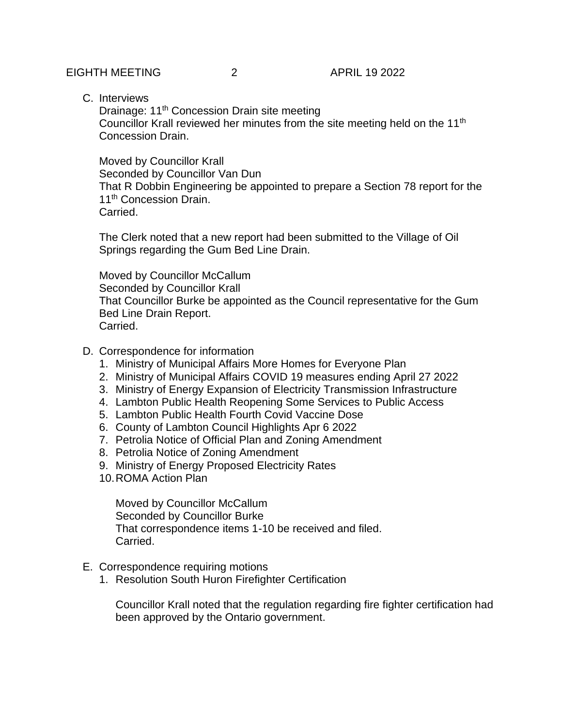C. Interviews

Drainage: 11<sup>th</sup> Concession Drain site meeting Councillor Krall reviewed her minutes from the site meeting held on the 11<sup>th</sup> Concession Drain.

Moved by Councillor Krall Seconded by Councillor Van Dun That R Dobbin Engineering be appointed to prepare a Section 78 report for the 11<sup>th</sup> Concession Drain. Carried.

The Clerk noted that a new report had been submitted to the Village of Oil Springs regarding the Gum Bed Line Drain.

Moved by Councillor McCallum Seconded by Councillor Krall That Councillor Burke be appointed as the Council representative for the Gum Bed Line Drain Report. Carried.

- D. Correspondence for information
	- 1. Ministry of Municipal Affairs More Homes for Everyone Plan
	- 2. Ministry of Municipal Affairs COVID 19 measures ending April 27 2022
	- 3. Ministry of Energy Expansion of Electricity Transmission Infrastructure
	- 4. Lambton Public Health Reopening Some Services to Public Access
	- 5. Lambton Public Health Fourth Covid Vaccine Dose
	- 6. County of Lambton Council Highlights Apr 6 2022
	- 7. Petrolia Notice of Official Plan and Zoning Amendment
	- 8. Petrolia Notice of Zoning Amendment
	- 9. Ministry of Energy Proposed Electricity Rates
	- 10.ROMA Action Plan

Moved by Councillor McCallum Seconded by Councillor Burke That correspondence items 1-10 be received and filed. Carried.

- E. Correspondence requiring motions
	- 1. Resolution South Huron Firefighter Certification

Councillor Krall noted that the regulation regarding fire fighter certification had been approved by the Ontario government.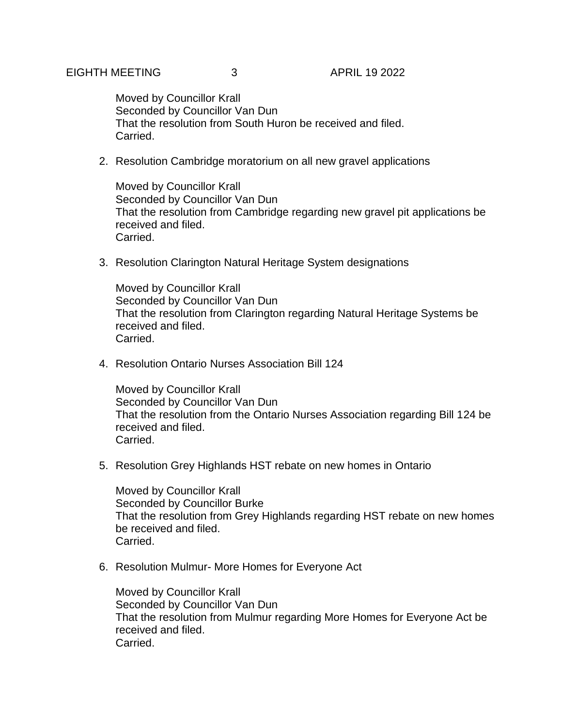Moved by Councillor Krall Seconded by Councillor Van Dun That the resolution from South Huron be received and filed. Carried.

2. Resolution Cambridge moratorium on all new gravel applications

Moved by Councillor Krall Seconded by Councillor Van Dun That the resolution from Cambridge regarding new gravel pit applications be received and filed. Carried.

3. Resolution Clarington Natural Heritage System designations

Moved by Councillor Krall Seconded by Councillor Van Dun That the resolution from Clarington regarding Natural Heritage Systems be received and filed. Carried.

4. Resolution Ontario Nurses Association Bill 124

Moved by Councillor Krall Seconded by Councillor Van Dun That the resolution from the Ontario Nurses Association regarding Bill 124 be received and filed. Carried.

5. Resolution Grey Highlands HST rebate on new homes in Ontario

Moved by Councillor Krall Seconded by Councillor Burke That the resolution from Grey Highlands regarding HST rebate on new homes be received and filed. Carried.

6. Resolution Mulmur- More Homes for Everyone Act

Moved by Councillor Krall Seconded by Councillor Van Dun That the resolution from Mulmur regarding More Homes for Everyone Act be received and filed. Carried.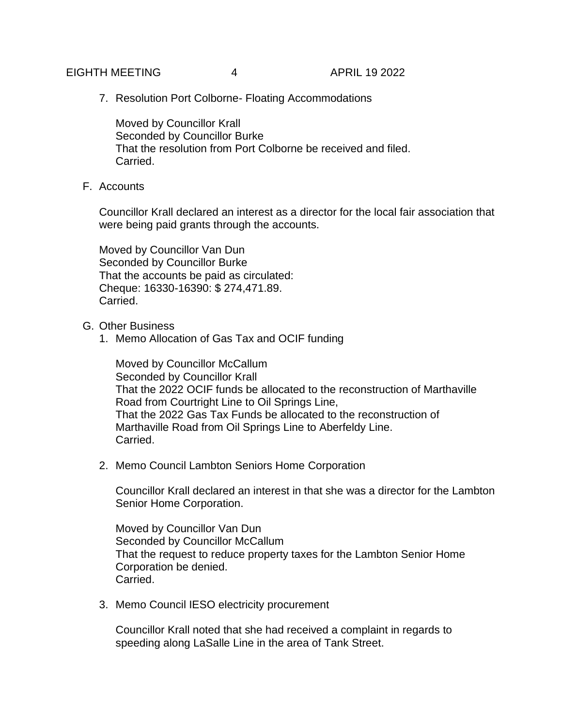## EIGHTH MEETING  $\begin{array}{ccc} 4 & 4 & 4 \end{array}$  APRIL 19 2022

7. Resolution Port Colborne- Floating Accommodations

Moved by Councillor Krall Seconded by Councillor Burke That the resolution from Port Colborne be received and filed. Carried.

F. Accounts

Councillor Krall declared an interest as a director for the local fair association that were being paid grants through the accounts.

Moved by Councillor Van Dun Seconded by Councillor Burke That the accounts be paid as circulated: Cheque: 16330-16390: \$ 274,471.89. Carried.

- G. Other Business
	- 1. Memo Allocation of Gas Tax and OCIF funding

Moved by Councillor McCallum Seconded by Councillor Krall That the 2022 OCIF funds be allocated to the reconstruction of Marthaville Road from Courtright Line to Oil Springs Line, That the 2022 Gas Tax Funds be allocated to the reconstruction of Marthaville Road from Oil Springs Line to Aberfeldy Line. Carried.

2. Memo Council Lambton Seniors Home Corporation

Councillor Krall declared an interest in that she was a director for the Lambton Senior Home Corporation.

Moved by Councillor Van Dun Seconded by Councillor McCallum That the request to reduce property taxes for the Lambton Senior Home Corporation be denied. Carried.

3. Memo Council IESO electricity procurement

Councillor Krall noted that she had received a complaint in regards to speeding along LaSalle Line in the area of Tank Street.